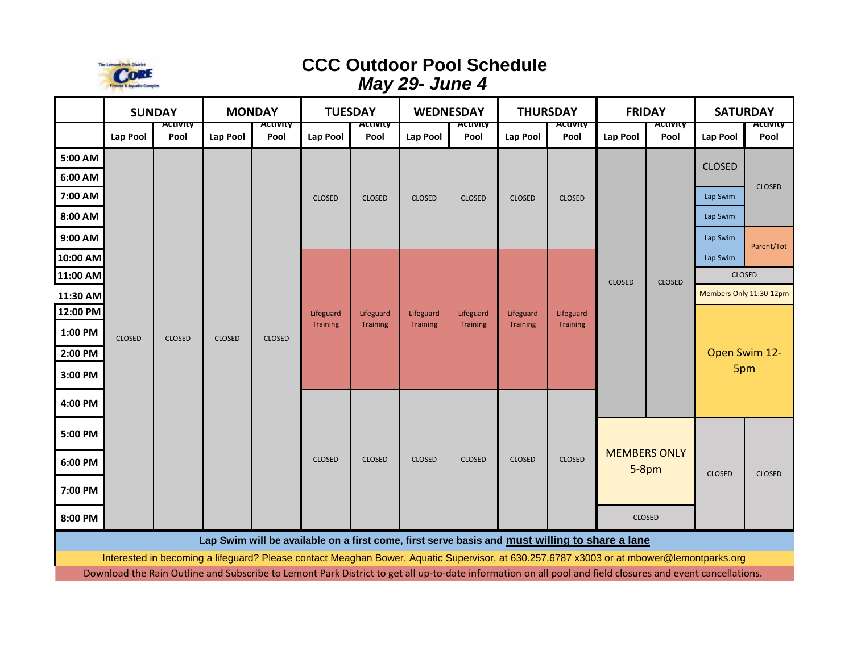

## **CCC Outdoor Pool Schedule** *May 29- June 4*

|                    | <b>SUNDAY</b> |                         | <b>MONDAY</b> |                              | <b>TUESDAY</b>                                                                                                                                            |                              | <b>WEDNESDAY</b>             |                              | <b>THURSDAY</b>              |                       | <b>FRIDAY</b>                                   |                | <b>SATURDAY</b>                |                       |
|--------------------|---------------|-------------------------|---------------|------------------------------|-----------------------------------------------------------------------------------------------------------------------------------------------------------|------------------------------|------------------------------|------------------------------|------------------------------|-----------------------|-------------------------------------------------|----------------|--------------------------------|-----------------------|
|                    | Lap Pool      | <b>асстотсу</b><br>Pool | Lap Pool      | асст <del>олсу</del><br>Pool | Lap Pool                                                                                                                                                  | <del>ιсtivity</del><br>Pool  | Lap Pool                     | ACUVILY<br>Pool              | Lap Pool                     | нспитгу<br>Pool       | Lap Pool                                        | нспипу<br>Pool | Lap Pool                       | . <del></del><br>Pool |
| 5:00 AM            | <b>CLOSED</b> | <b>CLOSED</b>           | <b>CLOSED</b> | <b>CLOSED</b>                | <b>CLOSED</b>                                                                                                                                             | <b>CLOSED</b>                | <b>CLOSED</b>                | <b>CLOSED</b>                | <b>CLOSED</b>                | <b>CLOSED</b>         | <b>CLOSED</b>                                   | <b>CLOSED</b>  | <b>CLOSED</b>                  | <b>CLOSED</b>         |
| 6:00 AM<br>7:00 AM |               |                         |               |                              |                                                                                                                                                           |                              |                              |                              |                              |                       |                                                 |                | Lap Swim                       |                       |
| 8:00 AM            |               |                         |               |                              |                                                                                                                                                           |                              |                              |                              |                              |                       |                                                 |                | Lap Swim                       |                       |
| 9:00 AM            |               |                         |               |                              |                                                                                                                                                           |                              |                              |                              |                              |                       |                                                 |                | Lap Swim                       | Parent/Tot            |
| 10:00 AM           |               |                         |               |                              | Lifeguard<br><b>Training</b>                                                                                                                              | Lifeguard<br><b>Training</b> | Lifeguard<br><b>Training</b> | Lifeguard<br><b>Training</b> | Lifeguard<br><b>Training</b> | Lifeguard<br>Training |                                                 |                | Lap Swim                       |                       |
| 11:00 AM           |               |                         |               |                              |                                                                                                                                                           |                              |                              |                              |                              |                       |                                                 |                | <b>CLOSED</b>                  |                       |
| 11:30 AM           |               |                         |               |                              |                                                                                                                                                           |                              |                              |                              |                              |                       |                                                 |                | Members Only 11:30-12pm        |                       |
| 12:00 PM           |               |                         |               |                              |                                                                                                                                                           |                              |                              |                              |                              |                       |                                                 |                | Open Swim 12-<br>5pm           |                       |
| 1:00 PM            |               |                         |               |                              |                                                                                                                                                           |                              |                              |                              |                              |                       |                                                 |                |                                |                       |
| 2:00 PM            |               |                         |               |                              |                                                                                                                                                           |                              |                              |                              |                              |                       |                                                 |                |                                |                       |
| 3:00 PM            |               |                         |               |                              |                                                                                                                                                           |                              |                              |                              |                              |                       |                                                 |                |                                |                       |
| 4:00 PM            |               |                         |               |                              |                                                                                                                                                           |                              |                              |                              |                              |                       |                                                 |                |                                |                       |
| 5:00 PM            |               |                         |               |                              | <b>CLOSED</b>                                                                                                                                             | <b>CLOSED</b>                | <b>CLOSED</b>                | <b>CLOSED</b>                | <b>CLOSED</b>                | <b>CLOSED</b>         | <b>MEMBERS ONLY</b><br>$5-8pm$<br><b>CLOSED</b> |                | <b>CLOSED</b><br><b>CLOSED</b> |                       |
| 6:00 PM            |               |                         |               |                              |                                                                                                                                                           |                              |                              |                              |                              |                       |                                                 |                |                                |                       |
| 7:00 PM            |               |                         |               |                              |                                                                                                                                                           |                              |                              |                              |                              |                       |                                                 |                |                                |                       |
| 8:00 PM            |               |                         |               |                              |                                                                                                                                                           |                              |                              |                              |                              |                       |                                                 |                |                                |                       |
|                    |               |                         |               |                              | Lap Swim will be available on a first come, first serve basis and must willing to share a lane                                                            |                              |                              |                              |                              |                       |                                                 |                |                                |                       |
|                    |               |                         |               |                              | Interested in becoming a lifeguard? Please contact Meaghan Bower, Aquatic Supervisor, at 630.257.6787 x3003 or at mbower@lemontparks.org                  |                              |                              |                              |                              |                       |                                                 |                |                                |                       |
|                    |               |                         |               |                              | Download the Rain Outline and Subscribe to Lemont Park District to get all up-to-date information on all pool and field closures and event cancellations. |                              |                              |                              |                              |                       |                                                 |                |                                |                       |